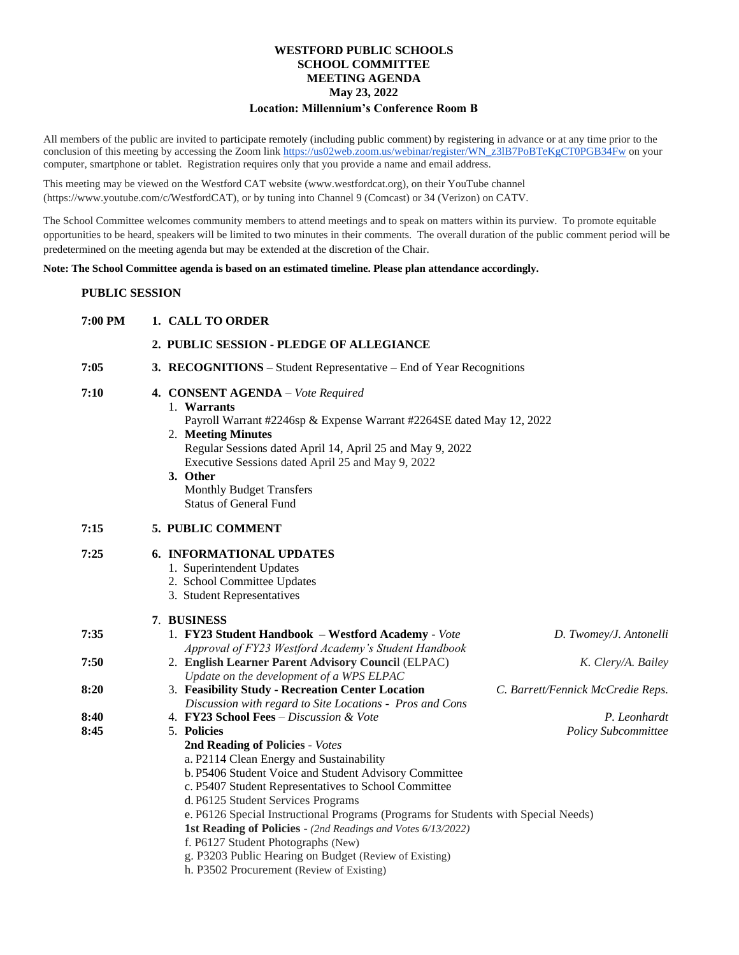## **WESTFORD PUBLIC SCHOOLS SCHOOL COMMITTEE MEETING AGENDA May 23, 2022 Location: Millennium's Conference Room B**

All members of the public are invited to participate remotely (including public comment) by registering in advance or at any time prior to the conclusion of this meeting by accessing the Zoom lin[k https://us02web.zoom.us/webinar/register/WN\\_z3lB7PoBTeKgCT0PGB34Fw](https://us02web.zoom.us/webinar/register/WN_z3lB7PoBTeKgCT0PGB34Fw) on your computer, smartphone or tablet. Registration requires only that you provide a name and email address.

This meeting may be viewed on the Westford CAT website (www.westfordcat.org), on their YouTube channel (https://www.youtube.com/c/WestfordCAT), or by tuning into Channel 9 (Comcast) or 34 (Verizon) on CATV.

The School Committee welcomes community members to attend meetings and to speak on matters within its purview. To promote equitable opportunities to be heard, speakers will be limited to two minutes in their comments. The overall duration of the public comment period will be predetermined on the meeting agenda but may be extended at the discretion of the Chair.

**Note: The School Committee agenda is based on an estimated timeline. Please plan attendance accordingly.**

## **PUBLIC SESSION**

| 7:00 PM | 1. CALL TO ORDER                                                                                                                                                                                                                                                                                                                                 |  |
|---------|--------------------------------------------------------------------------------------------------------------------------------------------------------------------------------------------------------------------------------------------------------------------------------------------------------------------------------------------------|--|
|         | 2. PUBLIC SESSION - PLEDGE OF ALLEGIANCE                                                                                                                                                                                                                                                                                                         |  |
| 7:05    | 3. RECOGNITIONS – Student Representative – End of Year Recognitions                                                                                                                                                                                                                                                                              |  |
| 7:10    | 4. CONSENT AGENDA - Vote Required<br>1. Warrants<br>Payroll Warrant #2246sp & Expense Warrant #2264SE dated May 12, 2022<br>2. Meeting Minutes<br>Regular Sessions dated April 14, April 25 and May 9, 2022<br>Executive Sessions dated April 25 and May 9, 2022<br>3. Other<br><b>Monthly Budget Transfers</b><br><b>Status of General Fund</b> |  |
| 7:15    | 5. PUBLIC COMMENT                                                                                                                                                                                                                                                                                                                                |  |
| 7:25    | <b>6. INFORMATIONAL UPDATES</b><br>1. Superintendent Updates<br>2. School Committee Updates<br>3. Student Representatives                                                                                                                                                                                                                        |  |
|         | 7. BUSINESS                                                                                                                                                                                                                                                                                                                                      |  |
| 7:35    | 1. FY23 Student Handbook - Westford Academy - Vote<br>D. Twomey/J. Antonelli<br>Approval of FY23 Westford Academy's Student Handbook                                                                                                                                                                                                             |  |
| 7:50    | 2. English Learner Parent Advisory Council (ELPAC)<br>K. Clery/A. Bailey<br>Update on the development of a WPS ELPAC                                                                                                                                                                                                                             |  |
| 8:20    | 3. Feasibility Study - Recreation Center Location<br>C. Barrett/Fennick McCredie Reps.<br>Discussion with regard to Site Locations - Pros and Cons                                                                                                                                                                                               |  |
| 8:40    | 4. FY23 School Fees - Discussion & Vote<br>P. Leonhardt                                                                                                                                                                                                                                                                                          |  |
| 8:45    | 5. Policies<br><b>Policy Subcommittee</b>                                                                                                                                                                                                                                                                                                        |  |
|         | 2nd Reading of Policies - Votes                                                                                                                                                                                                                                                                                                                  |  |
|         | a. P2114 Clean Energy and Sustainability                                                                                                                                                                                                                                                                                                         |  |
|         | b. P5406 Student Voice and Student Advisory Committee                                                                                                                                                                                                                                                                                            |  |
|         | c. P5407 Student Representatives to School Committee                                                                                                                                                                                                                                                                                             |  |
|         | d. P6125 Student Services Programs                                                                                                                                                                                                                                                                                                               |  |
|         | e. P6126 Special Instructional Programs (Programs for Students with Special Needs)                                                                                                                                                                                                                                                               |  |
|         | 1st Reading of Policies - (2nd Readings and Votes 6/13/2022)                                                                                                                                                                                                                                                                                     |  |
|         | f. P6127 Student Photographs (New)                                                                                                                                                                                                                                                                                                               |  |
|         | g. P3203 Public Hearing on Budget (Review of Existing)                                                                                                                                                                                                                                                                                           |  |
|         | h. P3502 Procurement (Review of Existing)                                                                                                                                                                                                                                                                                                        |  |